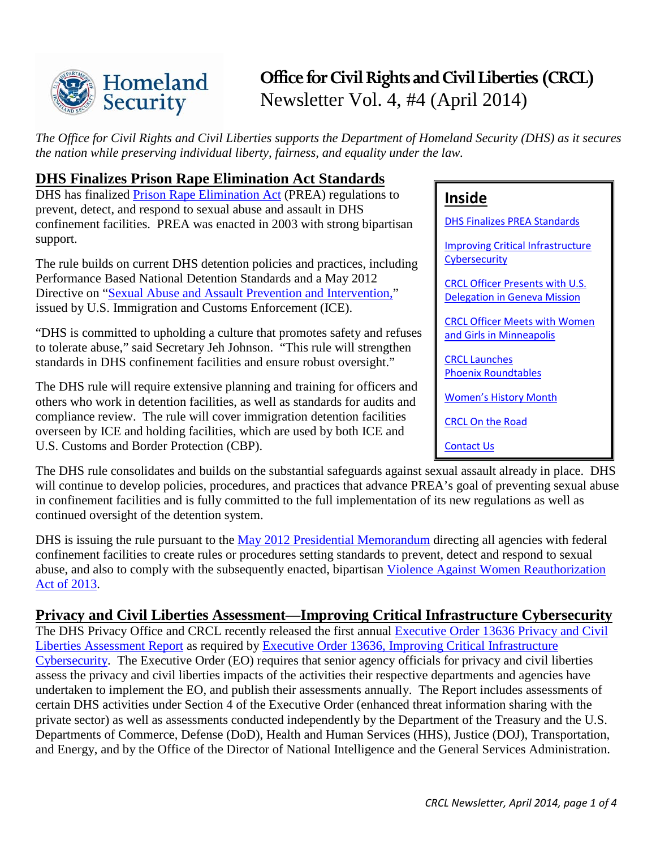

# **Office for Civil Rights and Civil Liberties (CRCL)** Newsletter Vol. 4, #4 (April 2014)

*The Office for Civil Rights and Civil Liberties supports the Department of Homeland Security (DHS) as it secures the nation while preserving individual liberty, fairness, and equality under the law.*

### <span id="page-0-0"></span>**DHS Finalizes Prison Rape Elimination Act Standards**

DHS has finalized [Prison Rape Elimination Act](http://www.gpo.gov/fdsys/pkg/PLAW-108publ79/pdf/PLAW-108publ79.pdf) (PREA) regulations to prevent, detect, and respond to sexual abuse and assault in DHS confinement facilities. PREA was enacted in 2003 with strong bipartisan support.

The rule builds on current DHS detention policies and practices, including Performance Based National Detention Standards and a May 2012 Directive on ["Sexual Abuse and Assault Prevention and Intervention,"](https://www.ice.gov/doclib/foia/dro_policy_memos/sexual-abuse-assault-prevention-intervention-policy.pdf) issued by U.S. Immigration and Customs Enforcement (ICE).

"DHS is committed to upholding a culture that promotes safety and refuses to tolerate abuse," said Secretary Jeh Johnson. "This rule will strengthen standards in DHS confinement facilities and ensure robust oversight."

The DHS rule will require extensive planning and training for officers and others who work in detention facilities, as well as standards for audits and compliance review. The rule will cover immigration detention facilities overseen by ICE and holding facilities, which are used by both ICE and U.S. Customs and Border Protection (CBP).

## **Inside**

DHS [Finalizes PREA](#page-0-0) Standards

[Improving Critical Infrastructure](#page-0-1)  **[Cybersecurity](#page-0-1)** 

[CRCL Officer Presents with U.S.](#page-1-0)  [Delegation in Geneva Mission](#page-1-0)

[CRCL Officer Meets with](#page-1-1) Women [and Girls in Minneapolis](#page-1-1)

[CRCL Launches](#page-2-0)  Phoenix [Roundtables](#page-2-0)

[Women's History Month](#page-2-1)

[CRCL On the Road](#page-3-0)

[Contact Us](#page-3-1)

The DHS rule consolidates and builds on the substantial safeguards against sexual assault already in place. DHS will continue to develop policies, procedures, and practices that advance PREA's goal of preventing sexual abuse in confinement facilities and is fully committed to the full implementation of its new regulations as well as continued oversight of the detention system.

DHS is issuing the rule pursuant to the [May 2012 Presidential Memorandum](http://www.whitehouse.gov/the-press-office/2012/05/17/presidential-memorandum-implementing-prison-rape-elimination-act) directing all agencies with federal confinement facilities to create rules or procedures setting standards to prevent, detect and respond to sexual abuse, and also to comply with the subsequently enacted, bipartisan [Violence Against Women Reauthorization](http://www.gpo.gov/fdsys/pkg/BILLS-113s47enr/pdf/BILLS-113s47enr.pdf)  [Act of 2013.](http://www.gpo.gov/fdsys/pkg/BILLS-113s47enr/pdf/BILLS-113s47enr.pdf)

### <span id="page-0-1"></span>**Privacy and Civil Liberties Assessment—Improving Critical Infrastructure Cybersecurity**

The DHS Privacy Office and CRCL recently released the first annual Executive Order 13636 Privacy and Civil [Liberties Assessment Report](http://www.dhs.gov/sites/default/files/publications/2014-privacy-and-civil-liberties-assessment-report.pdf) as required by [Executive Order 13636, Improving Critical Infrastructure](http://www.whitehouse.gov/the-press-office/2013/02/12/executive-order-improving-critical-infrastructure-cybersecurity)  [Cybersecurity.](http://www.whitehouse.gov/the-press-office/2013/02/12/executive-order-improving-critical-infrastructure-cybersecurity) The Executive Order (EO) requires that senior agency officials for privacy and civil liberties assess the privacy and civil liberties impacts of the activities their respective departments and agencies have undertaken to implement the EO, and publish their assessments annually. The Report includes assessments of certain DHS activities under Section 4 of the Executive Order (enhanced threat information sharing with the private sector) as well as assessments conducted independently by the Department of the Treasury and the U.S. Departments of Commerce, Defense (DoD), Health and Human Services (HHS), Justice (DOJ), Transportation, and Energy, and by the Office of the Director of National Intelligence and the General Services Administration.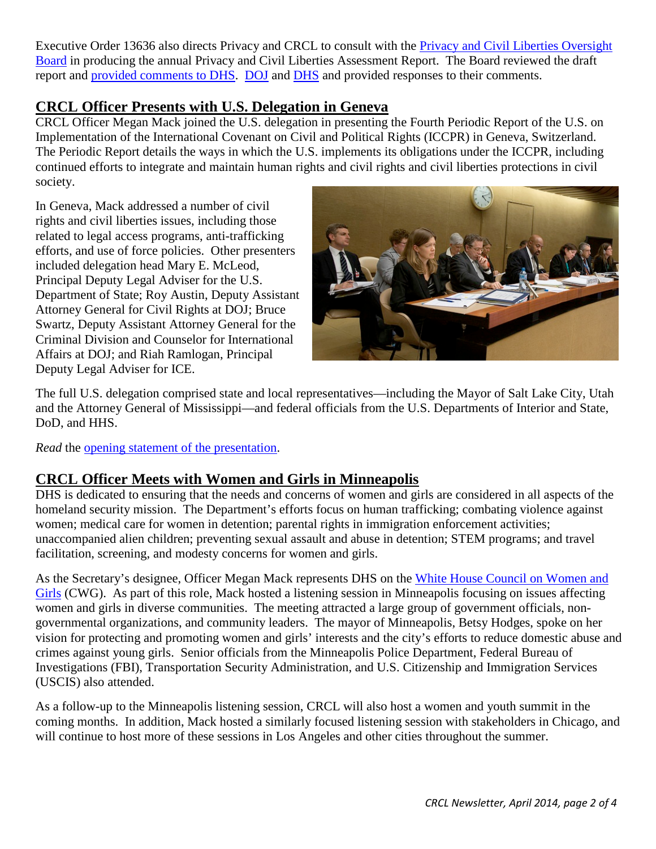Executive Order 13636 also directs Privacy and CRCL to consult with the [Privacy and Civil Liberties Oversight](http://www.pclob.gov/)  [Board](http://www.pclob.gov/) in producing the annual Privacy and Civil Liberties Assessment Report. The Board reviewed the draft report and [provided comments to DHS.](http://www.dhs.gov/sites/default/files/publications/pclob-cyber-letter-to-dhs-03-21-14.pdf) [DOJ](http://www.dhs.gov/sites/default/files/publications/doj-letter-to-pclob-04042014.pdf) and [DHS](http://www.dhs.gov/sites/default/files/publications/dhs-response-to-pclob-letter-04082014.pdf) and provided responses to their comments.

### <span id="page-1-0"></span>**CRCL Officer Presents with U.S. Delegation in Geneva**

CRCL Officer Megan Mack joined the U.S. delegation in presenting the Fourth Periodic Report of the U.S. on Implementation of the International Covenant on Civil and Political Rights (ICCPR) in Geneva, Switzerland. The Periodic Report details the ways in which the U.S. implements its obligations under the ICCPR, including continued efforts to integrate and maintain human rights and civil rights and civil liberties protections in civil society.

In Geneva, Mack addressed a number of civil rights and civil liberties issues, including those related to legal access programs, anti-trafficking efforts, and use of force policies. Other presenters included delegation head Mary E. McLeod, Principal Deputy Legal Adviser for the U.S. Department of State; Roy Austin, Deputy Assistant Attorney General for Civil Rights at DOJ; Bruce Swartz, Deputy Assistant Attorney General for the Criminal Division and Counselor for International Affairs at DOJ; and Riah Ramlogan, Principal Deputy Legal Adviser for ICE.



The full U.S. delegation comprised state and local representatives—including the Mayor of Salt Lake City, Utah and the Attorney General of Mississippi—and federal officials from the U.S. Departments of Interior and State, DoD, and HHS.

*Read* the [opening statement of the presentation.](https://geneva.usmission.gov/2014/03/13/u-s-opening-statement-at-presentation-of-the-fourth-periodic-report-of-the-u-s-on-implementation-of-the-iccpr/)

# <span id="page-1-1"></span>**CRCL Officer Meets with Women and Girls in Minneapolis**

DHS is dedicated to ensuring that the needs and concerns of women and girls are considered in all aspects of the homeland security mission. The Department's efforts focus on human trafficking; combating violence against women; medical care for women in detention; parental rights in immigration enforcement activities; unaccompanied alien children; preventing sexual assault and abuse in detention; STEM programs; and travel facilitation, screening, and modesty concerns for women and girls.

As the Secretary's designee, Officer Megan Mack represents DHS on the [White House Council on Women and](http://www.whitehouse.gov/administration/eop/cwg)  [Girls](http://www.whitehouse.gov/administration/eop/cwg) (CWG). As part of this role, Mack hosted a listening session in Minneapolis focusing on issues affecting women and girls in diverse communities. The meeting attracted a large group of government officials, nongovernmental organizations, and community leaders. The mayor of Minneapolis, Betsy Hodges, spoke on her vision for protecting and promoting women and girls' interests and the city's efforts to reduce domestic abuse and crimes against young girls. Senior officials from the Minneapolis Police Department, Federal Bureau of Investigations (FBI), Transportation Security Administration, and U.S. Citizenship and Immigration Services (USCIS) also attended.

As a follow-up to the Minneapolis listening session, CRCL will also host a women and youth summit in the coming months. In addition, Mack hosted a similarly focused listening session with stakeholders in Chicago, and will continue to host more of these sessions in Los Angeles and other cities throughout the summer.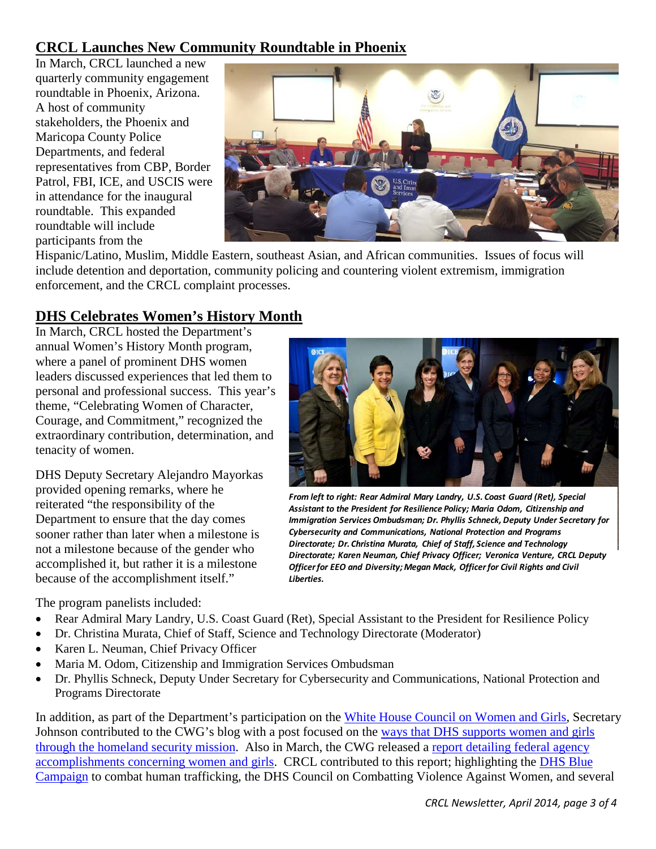# <span id="page-2-0"></span>**CRCL Launches New Community Roundtable in Phoenix**

In March, CRCL launched a new quarterly community engagement roundtable in Phoenix, Arizona. A host of community stakeholders, the Phoenix and Maricopa County Police Departments, and federal representatives from CBP, Border Patrol, FBI, ICE, and USCIS were in attendance for the inaugural roundtable. This expanded roundtable will include participants from the



Hispanic/Latino, Muslim, Middle Eastern, southeast Asian, and African communities. Issues of focus will include detention and deportation, community policing and countering violent extremism, immigration enforcement, and the CRCL complaint processes.

# <span id="page-2-1"></span>**DHS Celebrates Women's History Month**

In March, CRCL hosted the Department's annual Women's History Month program, where a panel of prominent DHS women leaders discussed experiences that led them to personal and professional success. This year's theme, "Celebrating Women of Character, Courage, and Commitment," recognized the extraordinary contribution, determination, and tenacity of women.

DHS Deputy Secretary Alejandro Mayorkas provided opening remarks, where he reiterated "the responsibility of the Department to ensure that the day comes sooner rather than later when a milestone is not a milestone because of the gender who accomplished it, but rather it is a milestone because of the accomplishment itself."

The program panelists included:

- Rear Admiral Mary Landry, U.S. Coast Guard (Ret), Special Assistant to the President for Resilience Policy
- Dr. Christina Murata, Chief of Staff, Science and Technology Directorate (Moderator)
- Karen L. Neuman, Chief Privacy Officer
- Maria M. Odom, Citizenship and Immigration Services Ombudsman
- Dr. Phyllis Schneck, Deputy Under Secretary for Cybersecurity and Communications, National Protection and Programs Directorate

In addition, as part of the Department's participation on the [White House Council on Women and Girls,](http://www.whitehouse.gov/administration/eop/cwg) Secretary Johnson contributed to the CWG's blog with a post focused on the [ways that DHS supports women and girls](http://www.whitehouse.gov/blog/2014/03/28/supporting-women-and-girls-through-homeland-security-mission)  [through the homeland security mission.](http://www.whitehouse.gov/blog/2014/03/28/supporting-women-and-girls-through-homeland-security-mission) Also in March, the CWG released a [report detailing federal agency](http://www.whitehouse.gov/sites/default/files/docs/wh_cwg_agency_march_reports_.pdf)  [accomplishments concerning women and girls.](http://www.whitehouse.gov/sites/default/files/docs/wh_cwg_agency_march_reports_.pdf) CRCL contributed to this report; highlighting the [DHS Blue](https://www.dhs.gov/end-human-trafficking)  [Campaign](https://www.dhs.gov/end-human-trafficking) to combat human trafficking, the DHS Council on Combatting Violence Against Women, and several



*From left to right: Rear Admiral Mary Landry, U.S. Coast Guard (Ret), Special Assistant to the President for Resilience Policy; Maria Odom, Citizenship and Immigration Services Ombudsman; Dr. Phyllis Schneck, Deputy Under Secretary for Cybersecurity and Communications, National Protection and Programs Directorate; Dr. Christina Murata, Chief of Staff, Science and Technology Directorate; Karen Neuman, Chief Privacy Officer; Veronica Venture, CRCL Deputy Officer for EEO and Diversity; Megan Mack, Officer for Civil Rights and Civil Liberties.*